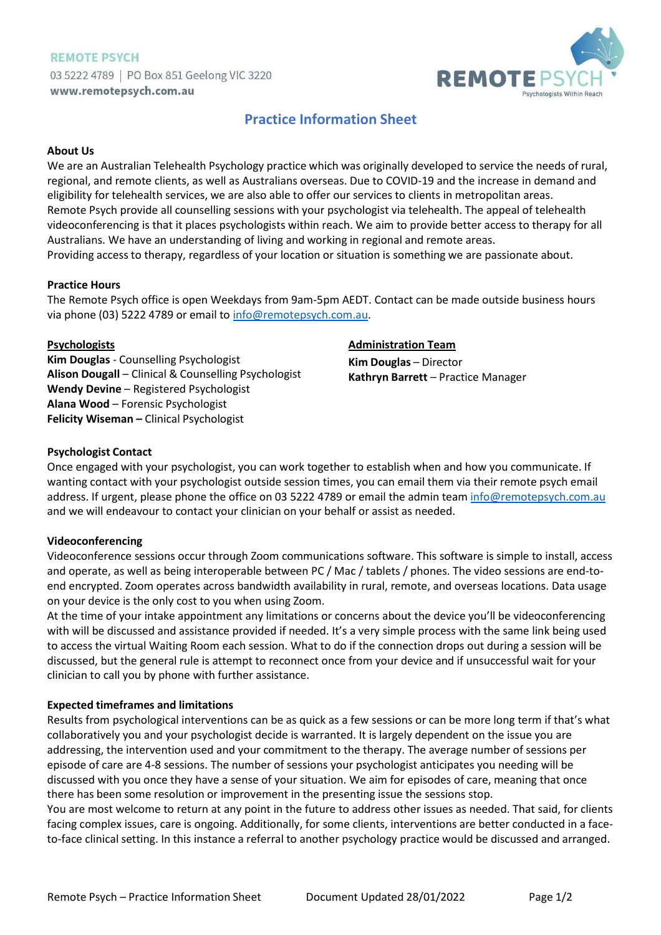# **REMOTE PSYCH** 03 5222 4789 | PO Box 851 Geelong VIC 3220 www.remotepsych.com.au



# **Practice Information Sheet**

#### **About Us**

We are an Australian Telehealth Psychology practice which was originally developed to service the needs of rural, regional, and remote clients, as well as Australians overseas. Due to COVID-19 and the increase in demand and eligibility for telehealth services, we are also able to offer our services to clients in metropolitan areas. Remote Psych provide all counselling sessions with your psychologist via telehealth. The appeal of telehealth videoconferencing is that it places psychologists within reach. We aim to provide better access to therapy for all Australians. We have an understanding of living and working in regional and remote areas. Providing access to therapy, regardless of your location or situation is something we are passionate about.

#### **Practice Hours**

The Remote Psych office is open Weekdays from 9am-5pm AEDT. Contact can be made outside business hours via phone (03) 5222 4789 or email to [info@remotepsych.com.au.](mailto:info@remotepsych.com.au)

### **Psychologists**

**Kim Douglas** - Counselling Psychologist **Alison Dougall** – Clinical & Counselling Psychologist **Wendy Devine** – Registered Psychologist **Alana Wood** – Forensic Psychologist **Felicity Wiseman –** Clinical Psychologist

### **Administration Team**

**Kim Douglas** – Director **Kathryn Barrett** – Practice Manager

### **Psychologist Contact**

Once engaged with your psychologist, you can work together to establish when and how you communicate. If wanting contact with your psychologist outside session times, you can email them via their remote psych email address. If urgent, please phone the office on 03 5222 4789 or email the admin team [info@remotepsych.com.au](mailto:info@remotepsych.com.au) and we will endeavour to contact your clinician on your behalf or assist as needed.

### **Videoconferencing**

Videoconference sessions occur through Zoom communications software. This software is simple to install, access and operate, as well as being interoperable between PC / Mac / tablets / phones. The video sessions are end-toend encrypted. Zoom operates across bandwidth availability in rural, remote, and overseas locations. Data usage on your device is the only cost to you when using Zoom.

At the time of your intake appointment any limitations or concerns about the device you'll be videoconferencing with will be discussed and assistance provided if needed. It's a very simple process with the same link being used to access the virtual Waiting Room each session. What to do if the connection drops out during a session will be discussed, but the general rule is attempt to reconnect once from your device and if unsuccessful wait for your clinician to call you by phone with further assistance.

### **Expected timeframes and limitations**

Results from psychological interventions can be as quick as a few sessions or can be more long term if that's what collaboratively you and your psychologist decide is warranted. It is largely dependent on the issue you are addressing, the intervention used and your commitment to the therapy. The average number of sessions per episode of care are 4-8 sessions. The number of sessions your psychologist anticipates you needing will be discussed with you once they have a sense of your situation. We aim for episodes of care, meaning that once there has been some resolution or improvement in the presenting issue the sessions stop.

You are most welcome to return at any point in the future to address other issues as needed. That said, for clients facing complex issues, care is ongoing. Additionally, for some clients, interventions are better conducted in a faceto-face clinical setting. In this instance a referral to another psychology practice would be discussed and arranged.